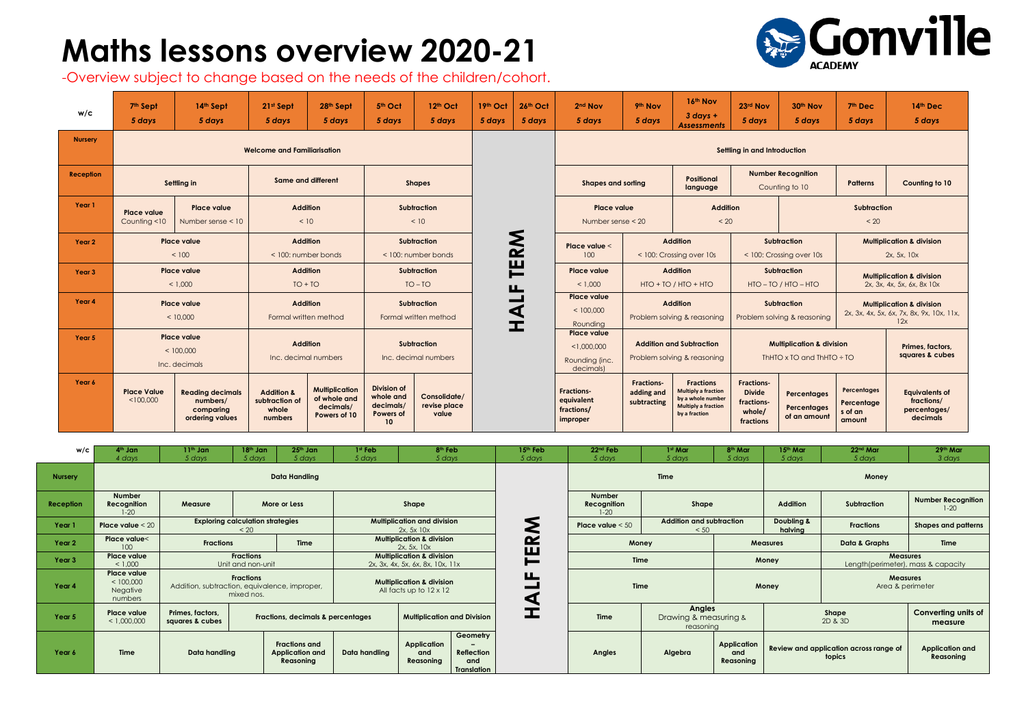## **Maths lessons overview 2020-21**

-Overview subject to change based on the needs of the children/cohort.

| w/c              | 7 <sup>th</sup> Sept<br>5 days                                                  | 14th Sept<br>5 days                                                 | 21st Sept<br>5 days                                         | 28th Sept<br>5 days                                                | 5 <sup>th</sup> Oct<br>5 days                                                | 12th Oct<br>5 days                         | 19th Oct<br>5 days | 26th Oct<br>5 days                                          | 2 <sup>nd</sup> Nov<br>5 days                                                                                                      | 9th Nov<br>5 days                                                  | 16th Nov<br>$3$ days +<br><b>Assessments</b>                                                                       | 23rd Nov<br>5 days                                                      | 30th Nov<br>5 days                             | 7th Dec<br>5 days                                                                        | 14th Dec<br>5 days                                              |  |
|------------------|---------------------------------------------------------------------------------|---------------------------------------------------------------------|-------------------------------------------------------------|--------------------------------------------------------------------|------------------------------------------------------------------------------|--------------------------------------------|--------------------|-------------------------------------------------------------|------------------------------------------------------------------------------------------------------------------------------------|--------------------------------------------------------------------|--------------------------------------------------------------------------------------------------------------------|-------------------------------------------------------------------------|------------------------------------------------|------------------------------------------------------------------------------------------|-----------------------------------------------------------------|--|
| <b>Nursery</b>   |                                                                                 | <b>Welcome and Familiarisation</b>                                  |                                                             |                                                                    | Settling in and Introduction                                                 |                                            |                    |                                                             |                                                                                                                                    |                                                                    |                                                                                                                    |                                                                         |                                                |                                                                                          |                                                                 |  |
| <b>Reception</b> | Settling in                                                                     |                                                                     | <b>Same and different</b>                                   |                                                                    | <b>Shapes</b>                                                                |                                            |                    |                                                             | <b>Shapes and sorting</b>                                                                                                          |                                                                    | <b>Positional</b><br>language                                                                                      |                                                                         | <b>Number Recognition</b><br>Counting to 10    |                                                                                          | <b>Counting to 10</b>                                           |  |
| Year 1           | <b>Place value</b><br><b>Place value</b><br>Counting <10<br>Number sense $<$ 10 |                                                                     | <b>Addition</b><br>< 10                                     |                                                                    |                                                                              | <b>Subtraction</b><br>< 10                 |                    |                                                             |                                                                                                                                    | <b>Addition</b><br><b>Place value</b><br>< 20<br>Number sense < 20 |                                                                                                                    |                                                                         |                                                | <b>Subtraction</b><br>< 20                                                               |                                                                 |  |
| Year 2           | Place value<br>< 100                                                            |                                                                     | <b>Addition</b><br>$<$ 100: number bonds                    |                                                                    | <b>Subtraction</b><br>< 100: number bonds                                    |                                            |                    | <b>NS</b>                                                   | Place value <<br>100                                                                                                               |                                                                    | <b>Addition</b><br>< 100: Crossing over 10s                                                                        |                                                                         | <b>Subtraction</b><br>< 100: Crossing over 10s |                                                                                          | <b>Multiplication &amp; division</b><br>2x, 5x, 10x             |  |
| Year 3           | <b>Place value</b><br>< 1.000                                                   |                                                                     | <b>Addition</b><br>$TO + TO$                                |                                                                    | Subtraction<br>$TO - TO$                                                     |                                            |                    | 巴<br>ட                                                      | <b>Place value</b><br>< 1.000                                                                                                      | <b>Addition</b><br>$HTO + TO / HTO + HTO$                          |                                                                                                                    | Subtraction<br>$HTO - TO / HTO - HTO$                                   |                                                | <b>Multiplication &amp; division</b><br>2x, 3x, 4x, 5x, 6x, 8x 10x                       |                                                                 |  |
| Year 4           | <b>Place value</b><br>< 10,000                                                  |                                                                     | <b>Addition</b><br>Formal written method                    |                                                                    | <b>Subtraction</b><br>Formal written method                                  |                                            |                    | $\overline{\phantom{0}}$<br>$\frac{\mathbf{A}}{\mathbf{H}}$ | <b>Place value</b><br>< 100,000<br>Rounding                                                                                        |                                                                    | <b>Addition</b><br>Problem solving & reasoning                                                                     | <b>Subtraction</b><br>Problem solving & reasoning                       |                                                | <b>Multiplication &amp; division</b><br>2x, 3x, 4x, 5x, 6x, 7x, 8x, 9x, 10x, 11x,<br>12x |                                                                 |  |
| Year 5           | <b>Place value</b><br>< 100,000<br>Inc. decimals                                |                                                                     | <b>Addition</b><br>Inc. decimal numbers                     |                                                                    |                                                                              | <b>Subtraction</b><br>Inc. decimal numbers |                    |                                                             | <b>Place value</b><br><b>Addition and Subtraction</b><br>< 1,000,000<br>Problem solving & reasoning<br>Rounding (inc.<br>decimals) |                                                                    |                                                                                                                    | <b>Multiplication &amp; division</b><br>ThHTO x TO and ThHTO $\div$ TO  |                                                |                                                                                          | Primes, factors,<br>squares & cubes                             |  |
| Year 6           | <b>Place Value</b><br>< 100,000                                                 | <b>Reading decimals</b><br>numbers/<br>comparing<br>ordering values | <b>Addition &amp;</b><br>subtraction of<br>whole<br>numbers | <b>Multiplication</b><br>of whole and<br>decimals/<br>Powers of 10 | <b>Division of</b><br>whole and<br>decimals/<br>Powers of<br>10 <sup>°</sup> | Consolidate/<br>revise place<br>value      |                    |                                                             | <b>Fractions-</b><br>equivalent<br>fractions/<br>improper                                                                          | <b>Fractions-</b><br>adding and<br>subtracting                     | <b>Fractions</b><br><b>Multiply a fraction</b><br>by a whole number<br><b>Multiply a fraction</b><br>by a fraction | <b>Fractions-</b><br><b>Divide</b><br>fractions-<br>whole/<br>fractions | Percentages<br>Percentages<br>of an amount     | Percentages<br>Percentage<br>s of an<br>amount                                           | <b>Equivalents of</b><br>fractions/<br>percentages/<br>decimals |  |

| w/c              | $4th$ Jan<br>4 days                             | $11th$ Jan<br>5 days                                                            | 18th Jan<br>5 days | $25th$ Jan<br>5 days                                 | 1 <sup>st</sup> Feb<br>5 days                                            | 8 <sup>th</sup> Feb<br>5 days      |                                                     | 15th Feb<br>5 days                       | 22 <sup>nd</sup> Feb<br>5 days | 1st Mar<br>5 days                                   | 8 <sup>th</sup> Mar<br>5 days          | 15 <sup>th</sup> Mar<br>5 days | 22 <sup>nd</sup> Mar<br>5 days                        | 29th Mar<br>3 days                    |  |
|------------------|-------------------------------------------------|---------------------------------------------------------------------------------|--------------------|------------------------------------------------------|--------------------------------------------------------------------------|------------------------------------|-----------------------------------------------------|------------------------------------------|--------------------------------|-----------------------------------------------------|----------------------------------------|--------------------------------|-------------------------------------------------------|---------------------------------------|--|
| <b>Nursery</b>   | Data Handling                                   |                                                                                 |                    |                                                      |                                                                          |                                    |                                                     |                                          | <b>Time</b>                    |                                                     |                                        | Money                          |                                                       |                                       |  |
| <b>Reception</b> | <b>Number</b><br>Recognition<br>$1 - 20$        | Measure                                                                         |                    | More or Less                                         | Shape                                                                    |                                    |                                                     | <b>Number</b><br>Recognition<br>$1 - 20$ | Shape                          |                                                     | <b>Addition</b>                        | Subtraction                    | <b>Number Recognition</b><br>$1-20$                   |                                       |  |
| Year 1           | Place value $<$ 20                              | <b>Exploring calculation strategies</b>                                         | < 20               |                                                      | <b>Multiplication and division</b><br>2x, 5x10x                          |                                    |                                                     | Σ                                        | Place value $< 50$             | <b>Addition and subtraction</b><br>< 50             |                                        | Doubling &<br>halving          | <b>Fractions</b>                                      | <b>Shapes and patterns</b>            |  |
| Year 2           | Place value<<br>100                             | <b>Fractions</b>                                                                |                    | <b>Time</b>                                          | <b>Multiplication &amp; division</b><br>2x, 5x, 10x                      |                                    |                                                     | $\sim$<br>Щ                              | Money                          |                                                     | <b>Measures</b>                        |                                | Data & Graphs                                         | <b>Time</b>                           |  |
| Year 3           | <b>Place value</b><br>< 1,000                   | <b>Fractions</b><br>Unit and non-unit                                           |                    |                                                      | <b>Multiplication &amp; division</b><br>2x, 3x, 4x, 5x, 6x, 8x, 10x, 11x |                                    |                                                     | $\blacksquare$                           |                                | <b>Time</b>                                         |                                        | Money                          | <b>Measures</b><br>Length(perimeter), mass & capacity |                                       |  |
| Year 4           | Place value<br>< 100,000<br>Negative<br>numbers | <b>Fractions</b><br>Addition, subtraction, equivalence, improper,<br>mixed nos. |                    |                                                      | <b>Multiplication &amp; division</b><br>All facts up to $12 \times 12$   |                                    |                                                     | ட<br>◁                                   | <b>Time</b>                    |                                                     |                                        | Money                          | <b>Measures</b><br>Area & perimeter                   |                                       |  |
| Year 5           | Place value<br>< 1,000,000                      | Primes, factors,<br>squares & cubes                                             |                    | <b>Fractions, decimals &amp; percentages</b>         |                                                                          | <b>Multiplication and Division</b> |                                                     | H                                        | <b>Time</b>                    | <b>Angles</b><br>Drawing & measuring &<br>reasonina |                                        |                                | Shape<br>2D & 3D                                      | <b>Converting units of</b><br>measure |  |
| Year 6           | <b>Time</b>                                     | Data handling                                                                   |                    | <b>Fractions and</b><br>Application and<br>Reasoning | <b>Application</b><br>Data handling<br>and<br>Reasoning                  |                                    | Geometry<br>Reflection<br>and<br><b>Translation</b> |                                          | <b>Angles</b>                  | Algebra                                             | <b>Application</b><br>and<br>Reasoning |                                | Review and application across range of<br>topics      | <b>Application and</b><br>Reasoning   |  |